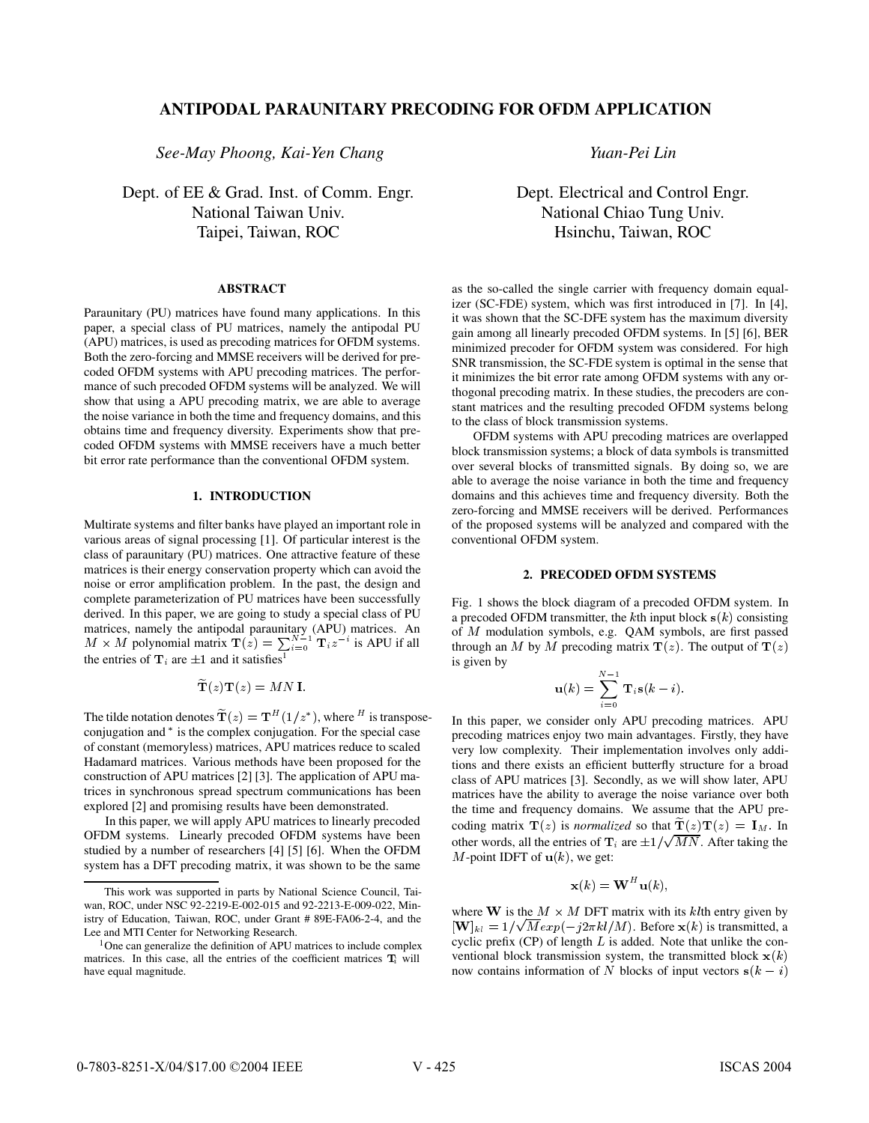# **ANTIPODAL PARAUNITARY PRECODING FOR OFDM APPLICATION**

*See-May Phoong, Kai-Yen Chang*

Dept. of EE & Grad. Inst. of Comm. Engr. National Taiwan Univ. Taipei, Taiwan, ROC

## **ABSTRACT**

Paraunitary (PU) matrices have found many applications. In this paper, a special class of PU matrices, namely the antipodal PU (APU) matrices, is used as precoding matrices for OFDM systems. Both the zero-forcing and MMSE receivers will be derived for precoded OFDM systems with APU precoding matrices. The performance of such precoded OFDM systems will be analyzed. We will show that using a APU precoding matrix, we are able to average the noise variance in both the time and frequency domains, and this obtains time and frequency diversity. Experiments show that precoded OFDM systems with MMSE receivers have a much better bit error rate performance than the conventional OFDM system.

#### **1. INTRODUCTION**

Multirate systems and filter banks have played an important role in various areas of signal processing [1]. Of particular interest is the class of paraunitary (PU) matrices. One attractive feature of these matrices is their energy conservation property which can avoid the noise or error amplification problem. In the past, the design and complete parameterization of PU matrices have been successfully derived. In this paper, we are going to study a special class of PU matrices, namely the antipodal paraunitary (APU) matrices. An  $M \times M$  polynomial matrix  $\mathbf{T}(z) = \sum_{i=0}^{N-1} \mathbf{T}_i z^{-i}$  is APU if all the entries of  $\mathbf{T}_i$  are  $\pm 1$  and it satisfies<sup>1</sup>

$$
\widetilde{\mathbf{T}}(z)\mathbf{T}(z) = MN\mathbf{I}.
$$

The tilde notation denotes  $\mathbf{T}(z) = \mathbf{T}^H(1/z^*)$ , where <sup>H</sup> is transposeconjugation and  $*$  is the complex conjugation. For the special case of constant (memoryless) matrices, APU matrices reduce to scaled Hadamard matrices. Various methods have been proposed for the construction of APU matrices [2] [3]. The application of APU matrices in synchronous spread spectrum communications has been explored [2] and promising results have been demonstrated.

In this paper, we will apply APU matrices to linearly precoded OFDM systems. Linearly precoded OFDM systems have been studied by a number of researchers [4] [5] [6]. When the OFDM system has a DFT precoding matrix, it was shown to be the same *Yuan-Pei Lin*

Dept. Electrical and Control Engr. National Chiao Tung Univ. Hsinchu, Taiwan, ROC

as the so-called the single carrier with frequency domain equalizer (SC-FDE) system, which was first introduced in [7]. In [4], it was shown that the SC-DFE system has the maximum diversity gain among all linearly precoded OFDM systems. In [5] [6], BER minimized precoder for OFDM system was considered. For high SNR transmission, the SC-FDE system is optimal in the sense that it minimizes the bit error rate among OFDM systems with any orthogonal precoding matrix. In these studies, the precoders are constant matrices and the resulting precoded OFDM systems belong to the class of block transmission systems.

OFDM systems with APU precoding matrices are overlapped block transmission systems; a block of data symbols is transmitted over several blocks of transmitted signals. By doing so, we are able to average the noise variance in both the time and frequency domains and this achieves time and frequency diversity. Both the zero-forcing and MMSE receivers will be derived. Performances of the proposed systems will be analyzed and compared with the conventional OFDM system.

#### **2. PRECODED OFDM SYSTEMS**

Fig. 1 shows the block diagram of a precoded OFDM system. In a precoded OFDM transmitter, the kth input block  $s(k)$  consisting of  $M$  modulation symbols, e.g. QAM symbols, are first passed through an M by M precoding matrix  $\mathbf{T}(z)$ . The output of  $\mathbf{T}(z)$ is given by

$$
\mathbf{u}(k) = \sum_{i=0}^{N-1} \mathbf{T}_i \mathbf{s}(k-i).
$$

In this paper, we consider only APU precoding matrices. APU precoding matrices enjoy two main advantages. Firstly, they have very low complexity. Their implementation involves only additions and there exists an efficient butterfly structure for a broad class of APU matrices [3]. Secondly, as we will show later, APU matrices have the ability to average the noise variance over both the time and frequency domains. We assume that the APU precoding matrix  $\mathbf{T}(z)$  is *normalized* so that  $\mathbf{T}(z)\mathbf{T}(z) = \mathbf{I}_M$ . In other words, all the entries of  $\mathbf{T}_i$  are  $\pm 1/\sqrt{MN}$ . After taking the  $M$ -point IDFT of  $\mathbf{u}(k)$ , we get:

$$
\mathbf{x}(k) = \mathbf{W}^H \mathbf{u}(k),
$$

where **W** is the  $M \times M$  DFT matrix with its klth entry given by  $[\mathbf{W}]_{kl} = 1/\sqrt{M} exp(-j2\pi kl/M)$ . Before  $\mathbf{x}(k)$  is transmitted, a cyclic prefix  $(CP)$  of length  $L$  is added. Note that unlike the conventional block transmission system, the transmitted block  $\mathbf{x}(k)$ now contains information of N blocks of input vectors  $s(k - i)$ 

This work was supported in parts by National Science Council, Taiwan, ROC, under NSC 92-2219-E-002-015 and 92-2213-E-009-022, Ministry of Education, Taiwan, ROC, under Grant # 89E-FA06-2-4, and the Lee and MTI Center for Networking Research.

<sup>&</sup>lt;sup>1</sup>One can generalize the definition of APU matrices to include complex matrices. In this case, all the entries of the coefficient matrices  $T_i$  will have equal magnitude.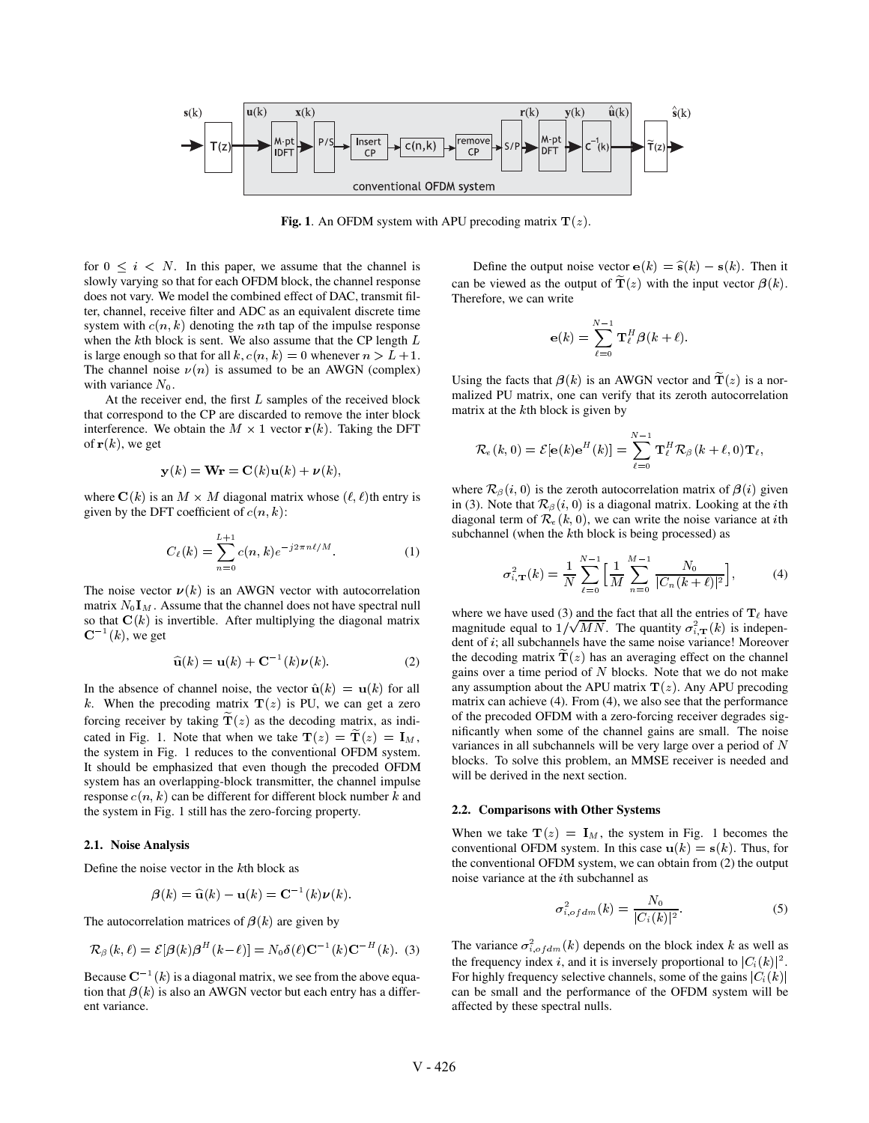

**Fig. 1.** An OFDM system with APU precoding matrix  $T(z)$ .

for  $0 \leq i \leq N$ . In this paper, we assume that the channel is slowly varying so that for each OFDM block, the channel response does not vary. We model the combined effect of DAC, transmit filter, channel, receive filter and ADC as an equivalent discrete time system with  $c(n, k)$  denoting the *n*th tap of the impulse response when the  $k$ th block is sent. We also assume that the CP length  $L$ is large enough so that for all  $k$ ,  $c(n, k) = 0$  whenever  $n > L + 1$ . The channel noise  $\nu(n)$  is assumed to be an AWGN (complex) with variance  $N_0$ .

At the receiver end, the first  $L$  samples of the received block that correspond to the CP are discarded to remove the inter block interference. We obtain the  $M \times 1$  vector  $r(k)$ . Taking the DFT of  $r(k)$ , we get

$$
\mathbf{y}(k) = \mathbf{Wr} = \mathbf{C}(k)\mathbf{u}(k) + \boldsymbol{\nu}(k),
$$

where  $C(k)$  is an  $M \times M$  diagonal matrix whose  $(\ell, \ell)$ th entry is given by the DFT coefficient of  $c(n, k)$ :

$$
C_{\ell}(k) = \sum_{n=0}^{L+1} c(n,k)e^{-j2\pi n\ell/M}.
$$
 (1)

The noise vector  $v(k)$  is an AWGN vector with autocorrelation matrix  $N_0 I_M$ . Assume that the channel does not have spectral null so that  $C(k)$  is invertible. After multiplying the diagonal matrix  $\mathbf{C}^{-1}(k)$ , we get

$$
\widehat{\mathbf{u}}(k) = \mathbf{u}(k) + \mathbf{C}^{-1}(k)\boldsymbol{\nu}(k). \tag{2}
$$

In the absence of channel noise, the vector  $\hat{u}(k) = u(k)$  for all k. When the precoding matrix  $\mathbf{T}(z)$  is PU, we can get a zero forcing receiver by taking  $T(z)$  as the decoding matrix, as indicated in Fig. 1. Note that when we take  $\mathbf{T}(z) = \mathbf{T}(z) = \mathbf{I}_M$ , the system in Fig. 1 reduces to the conventional OFDM system. It should be emphasized that even though the precoded OFDM system has an overlapping-block transmitter, the channel impulse response  $c(n, k)$  can be different for different block number k and the system in Fig. 1 still has the zero-forcing property.

#### **2.1. Noise Analysis**

Define the noise vector in the  $k$ th block as

$$
\boldsymbol{\beta}(k) = \widehat{\mathbf{u}}(k) - \mathbf{u}(k) = \mathbf{C}^{-1}(k)\boldsymbol{\nu}(k).
$$

The autocorrelation matrices of  $\beta(k)$  are given by

$$
\mathcal{R}_{\beta}(k,\ell) = \mathcal{E}[\beta(k)\beta^{H}(k-\ell)] = N_0 \delta(\ell) \mathbf{C}^{-1}(k) \mathbf{C}^{-H}(k).
$$
 (3)

Because  $\mathbb{C}^{-1}(k)$  is a diagonal matrix, we see from the above equation that  $\beta(k)$  is also an AWGN vector but each entry has a different variance.

Define the output noise vector  $e(k) = \hat{s}(k) - s(k)$ . Then it can be viewed as the output of  $\mathbf{T}(z)$  with the input vector  $\boldsymbol{\beta}(k)$ . Therefore, we can write

$$
\mathbf{e}(k)=\sum_{\ell=0}^{N-1}\mathbf{T}_{\ell}^{H}\boldsymbol{\beta}(k+\ell).
$$

Using the facts that  $\beta(k)$  is an AWGN vector and  $\mathbf{T}(z)$  is a normalized PU matrix, one can verify that its zeroth autocorrelation matrix at the  $k$ th block is given by

$$
\mathcal{R}_e(k,0)=\mathcal{E}[\mathbf{e}(k)\mathbf{e}^H(k)]=\sum_{\ell=0}^{N-1}\mathbf{T}^H_\ell\mathcal{R}_\beta(k+\ell,0)\mathbf{T}_\ell,
$$

where  $\mathcal{R}_{\beta}(i, 0)$  is the zeroth autocorrelation matrix of  $\beta(i)$  given in (3). Note that  $\mathcal{R}_{\beta}(i,0)$  is a diagonal matrix. Looking at the *i*th diagonal term of  $\mathcal{R}_e(k, 0)$ , we can write the noise variance at *i*th subchannel (when the  $k$ th block is being processed) as

$$
\sigma_{i,\mathbf{T}}^2(k) = \frac{1}{N} \sum_{\ell=0}^{N-1} \left[ \frac{1}{M} \sum_{n=0}^{M-1} \frac{N_0}{|C_n(k+\ell)|^2} \right],\tag{4}
$$

where we have used (3) and the fact that all the entries of  $T_\ell$  have magnitude equal to  $1/\sqrt{MN}$ . The quantity  $\sigma_i^2(\mathbf{r})$  is independent of  $i$ ; all subchannels have the same noise variance! Moreover the decoding matrix  $\mathbf{T}(z)$  has an averaging effect on the channel gains over a time period of  $N$  blocks. Note that we do not make any assumption about the APU matrix  $\mathbf{T}(z)$ . Any APU precoding matrix can achieve (4). From (4), we also see that the performance of the precoded OFDM with a zero-forcing receiver degrades significantly when some of the channel gains are small. The noise variances in all subchannels will be very large over a period of  $N$ blocks. To solve this problem, an MMSE receiver is needed and will be derived in the next section.

## **2.2. Comparisons with Other Systems**

When we take  $T(z) = I_M$ , the system in Fig. 1 becomes the conventional OFDM system. In this case  $\mathbf{u}(k) = \mathbf{s}(k)$ . Thus, for the conventional OFDM system, we can obtain from (2) the output noise variance at the *i*th subchannel as

$$
\sigma_{i, of dm}^2(k) = \frac{N_0}{|C_i(k)|^2}.
$$
 (5)

The variance  $\sigma_{i, of dm}^2(k)$  depends on the block index k as well as the frequency index i, and it is inversely proportional to  $|C_i(k)|^2$ . For highly frequency selective channels, some of the gains  $|C_i(k)|$ can be small and the performance of the OFDM system will be affected by these spectral nulls.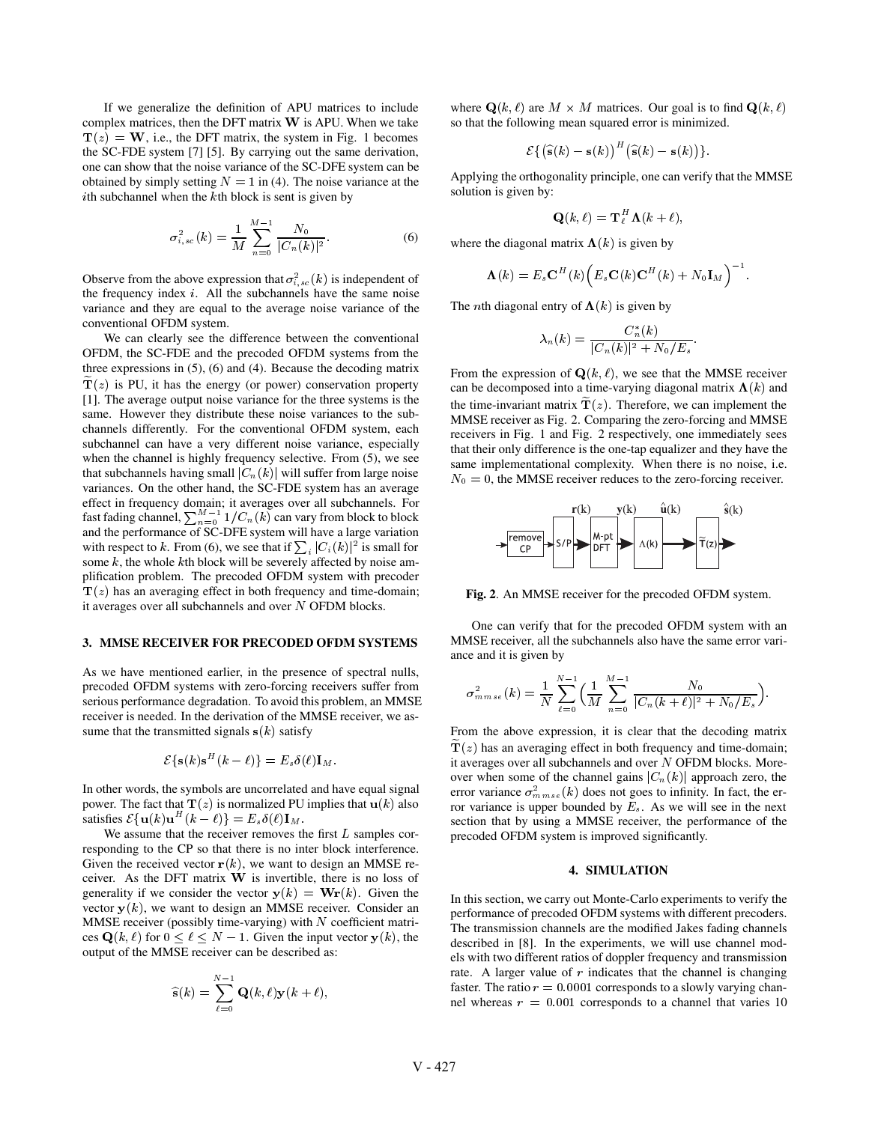If we generalize the definition of APU matrices to include complex matrices, then the DFT matrix  $W$  is APU. When we take  $\mathbf{T}(z) = \mathbf{W}$ , i.e., the DFT matrix, the system in Fig. 1 becomes the SC-FDE system [7] [5]. By carrying out the same derivation, one can show that the noise variance of the SC-DFE system can be obtained by simply setting  $N = 1$  in (4). The noise variance at the *i*th subchannel when the  $k$ th block is sent is given by

$$
\sigma_{i,sc}^2(k) = \frac{1}{M} \sum_{n=0}^{M-1} \frac{N_0}{|C_n(k)|^2}.
$$
 (6)

Observe from the above expression that  $\sigma_{i,sc}^{2}(k)$  is independent of the frequency index  $i$ . All the subchannels have the same noise variance and they are equal to the average noise variance of the conventional OFDM system.

We can clearly see the difference between the conventional OFDM, the SC-FDE and the precoded OFDM systems from the three expressions in (5), (6) and (4). Because the decoding matrix  $\mathbf{T}(z)$  is PU, it has the energy (or power) conservation property [1]. The average output noise variance for the three systems is the same. However they distribute these noise variances to the subchannels differently. For the conventional OFDM system, each subchannel can have a very different noise variance, especially when the channel is highly frequency selective. From (5), we see that subchannels having small  $|C_n(k)|$  will suffer from large noise variances. On the other hand, the SC-FDE system has an average effect in frequency domain; it averages over all subchannels. For fast fading channel,  $\sum_{n=0}^{M-1} 1/C_n(k)$  can vary from block to block and the performance of SC-DFE system will have a large variation with respect to k. From (6), we see that if  $\sum_i |C_i(k)|^2$  is small for some  $k$ , the whole  $k$ th block will be severely affected by noise amplification problem. The precoded OFDM system with precoder  $T(z)$  has an averaging effect in both frequency and time-domain; it averages over all subchannels and over  $N$  OFDM blocks.

#### **3. MMSE RECEIVER FOR PRECODED OFDM SYSTEMS**

As we have mentioned earlier, in the presence of spectral nulls, precoded OFDM systems with zero-forcing receivers suffer from serious performance degradation. To avoid this problem, an MMSE receiver is needed. In the derivation of the MMSE receiver, we assume that the transmitted signals  $s(k)$  satisfy

$$
\mathcal{E}\left\{\mathbf{s}(k)\mathbf{s}^H(k-\ell)\right\} = E_s\delta(\ell)\mathbf{I}_M.
$$

In other words, the symbols are uncorrelated and have equal signal power. The fact that  $\mathbf{T}(z)$  is normalized PU implies that  $\mathbf{u}(k)$  also satisfies  $\mathcal{E}\left\{ \mathbf{u}(k)\mathbf{u}^H(k-\ell) \right\} = E_s \delta(\ell) \mathbf{I}_M$ .

We assume that the receiver removes the first  $L$  samples corresponding to the CP so that there is no inter block interference. Given the received vector  $r(k)$ , we want to design an MMSE receiver. As the DFT matrix  $W$  is invertible, there is no loss of generality if we consider the vector  $y(k) = Wr(k)$ . Given the vector  $y(k)$ , we want to design an MMSE receiver. Consider an MMSE receiver (possibly time-varying) with  $N$  coefficient matrices  $\mathbf{Q}(k, \ell)$  for  $0 \leq \ell \leq N - 1$ . Given the input vector  $\mathbf{y}(k)$ , the output of the MMSE receiver can be described as:

$$
\widehat{\mathbf{s}}(k) = \sum_{\ell=0}^{N-1} \mathbf{Q}(k,\ell) \mathbf{y}(k+\ell),
$$

where  $\mathbf{Q}(k,\ell)$  are  $M \times M$  matrices. Our goal is to find  $\mathbf{Q}(k,\ell)$ so that the following mean squared error is minimized.

$$
\mathcal{E}\left\{\left(\widehat{\mathbf{s}}(k)-\mathbf{s}(k)\right)^H\left(\widehat{\mathbf{s}}(k)-\mathbf{s}(k)\right)\right\}.
$$

Applying the orthogonality principle, one can verify that the MMSE solution is given by:

$$
\mathbf{Q}(k,\ell) = \mathbf{T}_{\ell}^H \, \mathbf{\Lambda}(k+\ell),
$$

where the diagonal matrix  $\Lambda(k)$  is given by

$$
\boldsymbol{\Lambda}(k) = E_s\mathbf{C}^H(k)\Big(E_s\mathbf{C}(k)\mathbf{C}^H(k) + N_0\mathbf{I}_M\Big)^{-1}.
$$

The *n*th diagonal entry of  $\Lambda(k)$  is given by

$$
\lambda_n(k)=\frac{C_n^*(k)}{|C_n(k)|^2+N_0/E_s}.
$$

From the expression of  $\mathbf{Q}(k, \ell)$ , we see that the MMSE receiver can be decomposed into a time-varying diagonal matrix  $\Lambda(k)$  and the time-invariant matrix  $\mathbf{T}(z)$ . Therefore, we can implement the MMSE receiver as Fig. 2. Comparing the zero-forcing and MMSE receivers in Fig. 1 and Fig. 2 respectively, one immediately sees that their only difference is the one-tap equalizer and they have the same implementational complexity. When there is no noise, i.e.  $N_0 = 0$ , the MMSE receiver reduces to the zero-forcing receiver.



**Fig. 2**. An MMSE receiver for the precoded OFDM system.

One can verify that for the precoded OFDM system with an MMSE receiver, all the subchannels also have the same error variance and it is given by

$$
\sigma^2_{mmse}(k) = \frac{1}{N} \sum_{\ell=0}^{N-1} \Bigl(\frac{1}{M} \sum_{n=0}^{M-1} \frac{N_0}{|C_n(k+\ell)|^2 + N_0/E_s}\Bigr).
$$

From the above expression, it is clear that the decoding matrix  $T(z)$  has an averaging effect in both frequency and time-domain; it averages over all subchannels and over  $N$  OFDM blocks. Moreover when some of the channel gains  $|C_n(k)|$  approach zero, the error variance  $\sigma_{mmse}^2(k)$  does not goes to infinity. In fact, the error variance is upper bounded by  $E_s$ . As we will see in the next section that by using a MMSE receiver, the performance of the precoded OFDM system is improved significantly.

#### **4. SIMULATION**

In this section, we carry out Monte-Carlo experiments to verify the performance of precoded OFDM systems with different precoders. The transmission channels are the modified Jakes fading channels described in [8]. In the experiments, we will use channel models with two different ratios of doppler frequency and transmission rate. A larger value of  $r$  indicates that the channel is changing faster. The ratio  $r = 0.0001$  corresponds to a slowly varying channel whereas  $r = 0.001$  corresponds to a channel that varies 10